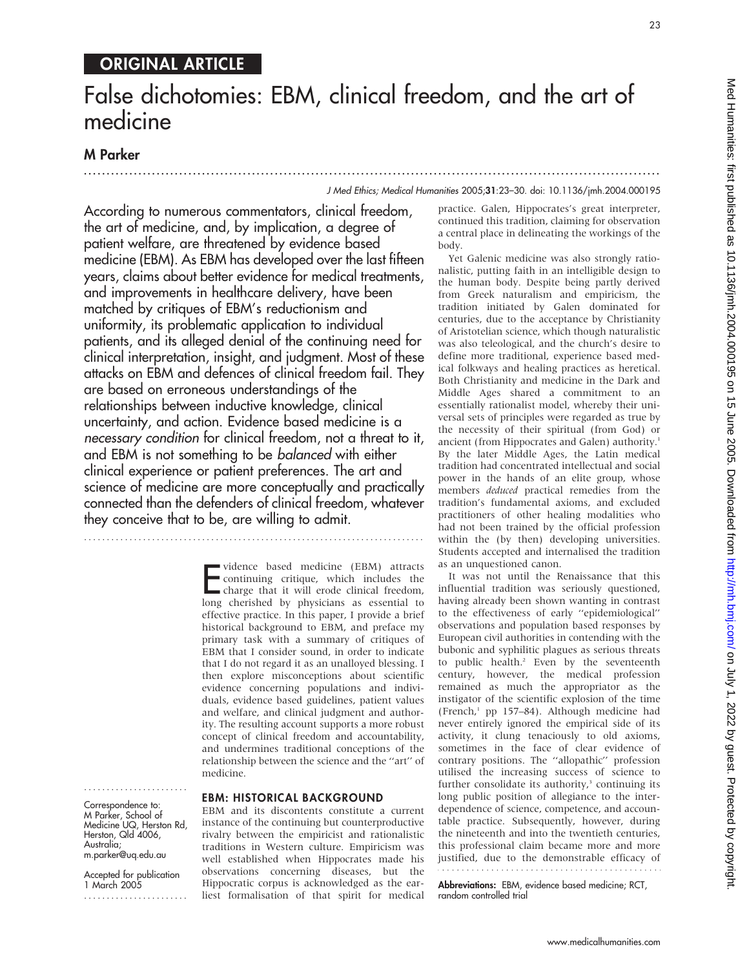# ORIGINAL ARTICLE

# False dichotomies: EBM, clinical freedom, and the art of medicine

# M Parker

....................... Correspondence to: M Parker, School of Medicine UQ, Herston Rd, Herston, Qld 4006, Australia;

m.parker@uq.edu.au Accepted for publication 1 March 2005

.......................

#### J Med Ethics; Medical Humanities 2005;31:23–30. doi: 10.1136/jmh.2004.000195

According to numerous commentators, clinical freedom, the art of medicine, and, by implication, a degree of patient welfare, are threatened by evidence based medicine (EBM). As EBM has developed over the last fifteen years, claims about better evidence for medical treatments, and improvements in healthcare delivery, have been matched by critiques of EBM's reductionism and uniformity, its problematic application to individual patients, and its alleged denial of the continuing need for clinical interpretation, insight, and judgment. Most of these attacks on EBM and defences of clinical freedom fail. They are based on erroneous understandings of the relationships between inductive knowledge, clinical uncertainty, and action. Evidence based medicine is a necessary condition for clinical freedom, not a threat to it, and EBM is not something to be balanced with either clinical experience or patient preferences. The art and science of medicine are more conceptually and practically connected than the defenders of clinical freedom, whatever they conceive that to be, are willing to admit.

...........................................................................

Vidence based medicine (EBM) attracts<br>
continuing critique, which includes the<br>
charge that it will erode clinical freedom,<br>
long cherished by physicians as essential to vidence based medicine (EBM) attracts continuing critique, which includes the charge that it will erode clinical freedom, effective practice. In this paper, I provide a brief historical background to EBM, and preface my primary task with a summary of critiques of EBM that I consider sound, in order to indicate that I do not regard it as an unalloyed blessing. I then explore misconceptions about scientific evidence concerning populations and individuals, evidence based guidelines, patient values and welfare, and clinical judgment and authority. The resulting account supports a more robust concept of clinical freedom and accountability, and undermines traditional conceptions of the relationship between the science and the ''art'' of medicine.

#### EBM: HISTORICAL BACKGROUND

EBM and its discontents constitute a current instance of the continuing but counterproductive rivalry between the empiricist and rationalistic traditions in Western culture. Empiricism was well established when Hippocrates made his observations concerning diseases, but the Hippocratic corpus is acknowledged as the earliest formalisation of that spirit for medical practice. Galen, Hippocrates's great interpreter, continued this tradition, claiming for observation a central place in delineating the workings of the body.

...............................................................................................................................

Yet Galenic medicine was also strongly rationalistic, putting faith in an intelligible design to the human body. Despite being partly derived from Greek naturalism and empiricism, the tradition initiated by Galen dominated for centuries, due to the acceptance by Christianity of Aristotelian science, which though naturalistic was also teleological, and the church's desire to define more traditional, experience based medical folkways and healing practices as heretical. Both Christianity and medicine in the Dark and Middle Ages shared a commitment to an essentially rationalist model, whereby their universal sets of principles were regarded as true by the necessity of their spiritual (from God) or ancient (from Hippocrates and Galen) authority.<sup>1</sup> By the later Middle Ages, the Latin medical tradition had concentrated intellectual and social power in the hands of an elite group, whose members deduced practical remedies from the tradition's fundamental axioms, and excluded practitioners of other healing modalities who had not been trained by the official profession within the (by then) developing universities. Students accepted and internalised the tradition as an unquestioned canon.

It was not until the Renaissance that this influential tradition was seriously questioned, having already been shown wanting in contrast to the effectiveness of early ''epidemiological'' observations and population based responses by European civil authorities in contending with the bubonic and syphilitic plagues as serious threats to public health.<sup>2</sup> Even by the seventeenth century, however, the medical profession remained as much the appropriator as the instigator of the scientific explosion of the time (French,<sup>1</sup> pp 157–84). Although medicine had never entirely ignored the empirical side of its activity, it clung tenaciously to old axioms, sometimes in the face of clear evidence of contrary positions. The ''allopathic'' profession utilised the increasing success of science to further consolidate its authority, $3$  continuing its long public position of allegiance to the interdependence of science, competence, and accountable practice. Subsequently, however, during the nineteenth and into the twentieth centuries, this professional claim became more and more justified, due to the demonstrable efficacy of

Abbreviations: EBM, evidence based medicine; RCT, random controlled trial

Med Humanities: first published as 10.1136/jmh.2004.000195 on 15 June 2005. Downloaded from http://mh.bmj.com/ on July 1, 2022 by guest. Protected by copyright on July 1, 2022 by guest. Protected by Guest. Protect publishing the subsequent from the subsequent for the subsequent published in the strategy of  $202$  by  $\sim$   $202$  by  $\sim$   $202$  by com/  $200$  and  $40$  from and are com/

#### 23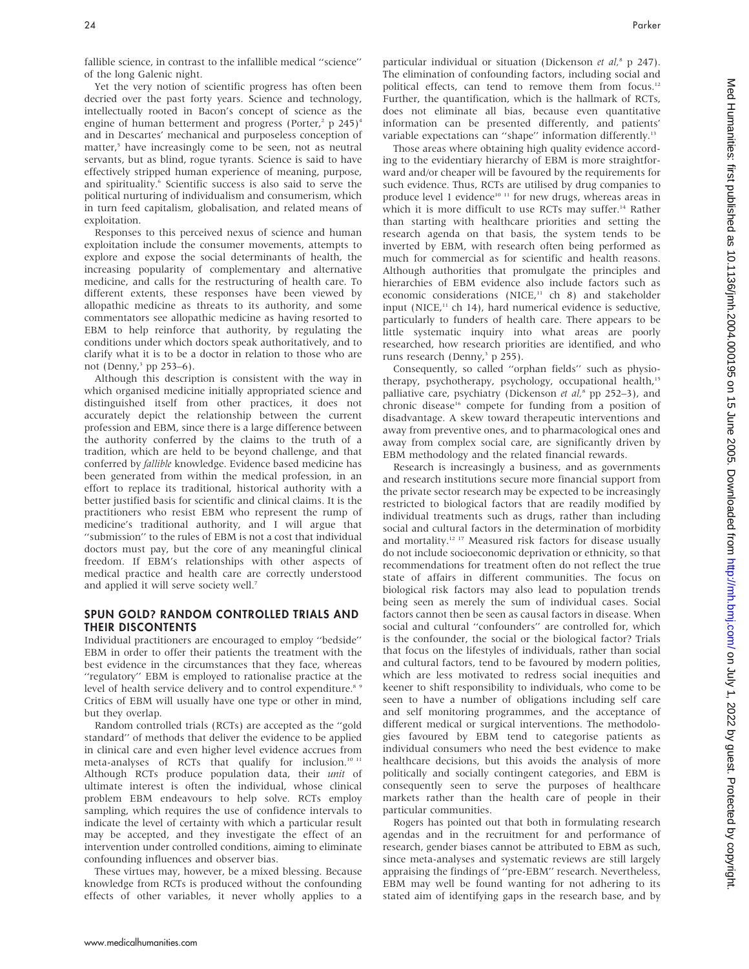fallible science, in contrast to the infallible medical ''science'' of the long Galenic night.

Yet the very notion of scientific progress has often been decried over the past forty years. Science and technology, intellectually rooted in Bacon's concept of science as the engine of human betterment and progress (Porter,<sup>2</sup> p 245)<sup>4</sup> and in Descartes' mechanical and purposeless conception of matter,<sup>5</sup> have increasingly come to be seen, not as neutral servants, but as blind, rogue tyrants. Science is said to have effectively stripped human experience of meaning, purpose, and spirituality.<sup>6</sup> Scientific success is also said to serve the political nurturing of individualism and consumerism, which in turn feed capitalism, globalisation, and related means of exploitation.

Responses to this perceived nexus of science and human exploitation include the consumer movements, attempts to explore and expose the social determinants of health, the increasing popularity of complementary and alternative medicine, and calls for the restructuring of health care. To different extents, these responses have been viewed by allopathic medicine as threats to its authority, and some commentators see allopathic medicine as having resorted to EBM to help reinforce that authority, by regulating the conditions under which doctors speak authoritatively, and to clarify what it is to be a doctor in relation to those who are not (Denny, $3$  pp 253–6).

Although this description is consistent with the way in which organised medicine initially appropriated science and distinguished itself from other practices, it does not accurately depict the relationship between the current profession and EBM, since there is a large difference between the authority conferred by the claims to the truth of a tradition, which are held to be beyond challenge, and that conferred by fallible knowledge. Evidence based medicine has been generated from within the medical profession, in an effort to replace its traditional, historical authority with a better justified basis for scientific and clinical claims. It is the practitioners who resist EBM who represent the rump of medicine's traditional authority, and I will argue that ''submission'' to the rules of EBM is not a cost that individual doctors must pay, but the core of any meaningful clinical freedom. If EBM's relationships with other aspects of medical practice and health care are correctly understood and applied it will serve society well.<sup>7</sup>

#### SPUN GOLD? RANDOM CONTROLLED TRIALS AND THEIR DISCONTENTS

Individual practitioners are encouraged to employ ''bedside'' EBM in order to offer their patients the treatment with the best evidence in the circumstances that they face, whereas ''regulatory'' EBM is employed to rationalise practice at the level of health service delivery and to control expenditure.<sup>8</sup> <sup>9</sup> Critics of EBM will usually have one type or other in mind, but they overlap.

Random controlled trials (RCTs) are accepted as the ''gold standard'' of methods that deliver the evidence to be applied in clinical care and even higher level evidence accrues from meta-analyses of RCTs that qualify for inclusion.<sup>10 11</sup> Although RCTs produce population data, their unit of ultimate interest is often the individual, whose clinical problem EBM endeavours to help solve. RCTs employ sampling, which requires the use of confidence intervals to indicate the level of certainty with which a particular result may be accepted, and they investigate the effect of an intervention under controlled conditions, aiming to eliminate confounding influences and observer bias.

These virtues may, however, be a mixed blessing. Because knowledge from RCTs is produced without the confounding effects of other variables, it never wholly applies to a particular individual or situation (Dickenson et al,<sup>8</sup> p 247). The elimination of confounding factors, including social and political effects, can tend to remove them from focus.<sup>12</sup> Further, the quantification, which is the hallmark of RCTs, does not eliminate all bias, because even quantitative information can be presented differently, and patients' variable expectations can "shape" information differently.<sup>13</sup>

Those areas where obtaining high quality evidence according to the evidentiary hierarchy of EBM is more straightforward and/or cheaper will be favoured by the requirements for such evidence. Thus, RCTs are utilised by drug companies to produce level 1 evidence<sup>10 11</sup> for new drugs, whereas areas in which it is more difficult to use RCTs may suffer.<sup>14</sup> Rather than starting with healthcare priorities and setting the research agenda on that basis, the system tends to be inverted by EBM, with research often being performed as much for commercial as for scientific and health reasons. Although authorities that promulgate the principles and hierarchies of EBM evidence also include factors such as economic considerations (NICE, $11$  ch 8) and stakeholder input (NICE, $<sup>11</sup>$  ch 14), hard numerical evidence is seductive,</sup> particularly to funders of health care. There appears to be little systematic inquiry into what areas are poorly researched, how research priorities are identified, and who runs research (Denny,<sup>3</sup> p 255).

Consequently, so called ''orphan fields'' such as physiotherapy, psychotherapy, psychology, occupational health,<sup>15</sup> palliative care, psychiatry (Dickenson et  $al$ ,<sup>8</sup> pp 252–3), and chronic disease<sup>16</sup> compete for funding from a position of disadvantage. A skew toward therapeutic interventions and away from preventive ones, and to pharmacological ones and away from complex social care, are significantly driven by EBM methodology and the related financial rewards.

Research is increasingly a business, and as governments and research institutions secure more financial support from the private sector research may be expected to be increasingly restricted to biological factors that are readily modified by individual treatments such as drugs, rather than including social and cultural factors in the determination of morbidity and mortality.<sup>12 17</sup> Measured risk factors for disease usually do not include socioeconomic deprivation or ethnicity, so that recommendations for treatment often do not reflect the true state of affairs in different communities. The focus on biological risk factors may also lead to population trends being seen as merely the sum of individual cases. Social factors cannot then be seen as causal factors in disease. When social and cultural ''confounders'' are controlled for, which is the confounder, the social or the biological factor? Trials that focus on the lifestyles of individuals, rather than social and cultural factors, tend to be favoured by modern polities, which are less motivated to redress social inequities and keener to shift responsibility to individuals, who come to be seen to have a number of obligations including self care and self monitoring programmes, and the acceptance of different medical or surgical interventions. The methodologies favoured by EBM tend to categorise patients as individual consumers who need the best evidence to make healthcare decisions, but this avoids the analysis of more politically and socially contingent categories, and EBM is consequently seen to serve the purposes of healthcare markets rather than the health care of people in their particular communities.

Rogers has pointed out that both in formulating research agendas and in the recruitment for and performance of research, gender biases cannot be attributed to EBM as such, since meta-analyses and systematic reviews are still largely appraising the findings of ''pre-EBM'' research. Nevertheless, EBM may well be found wanting for not adhering to its stated aim of identifying gaps in the research base, and by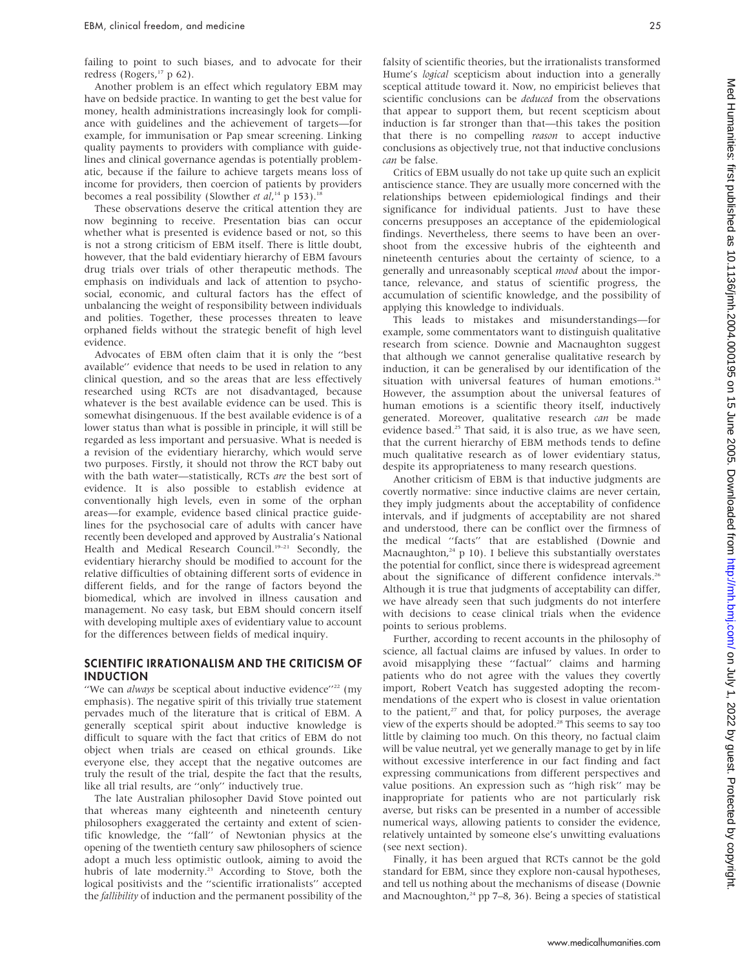failing to point to such biases, and to advocate for their redress (Rogers,<sup>17</sup> p 62).

Another problem is an effect which regulatory EBM may have on bedside practice. In wanting to get the best value for money, health administrations increasingly look for compliance with guidelines and the achievement of targets—for example, for immunisation or Pap smear screening. Linking quality payments to providers with compliance with guidelines and clinical governance agendas is potentially problematic, because if the failure to achieve targets means loss of income for providers, then coercion of patients by providers becomes a real possibility (Slowther et al,<sup>14</sup> p 153).<sup>18</sup>

These observations deserve the critical attention they are now beginning to receive. Presentation bias can occur whether what is presented is evidence based or not, so this is not a strong criticism of EBM itself. There is little doubt, however, that the bald evidentiary hierarchy of EBM favours drug trials over trials of other therapeutic methods. The emphasis on individuals and lack of attention to psychosocial, economic, and cultural factors has the effect of unbalancing the weight of responsibility between individuals and polities. Together, these processes threaten to leave orphaned fields without the strategic benefit of high level evidence.

Advocates of EBM often claim that it is only the ''best available'' evidence that needs to be used in relation to any clinical question, and so the areas that are less effectively researched using RCTs are not disadvantaged, because whatever is the best available evidence can be used. This is somewhat disingenuous. If the best available evidence is of a lower status than what is possible in principle, it will still be regarded as less important and persuasive. What is needed is a revision of the evidentiary hierarchy, which would serve two purposes. Firstly, it should not throw the RCT baby out with the bath water—statistically, RCTs are the best sort of evidence. It is also possible to establish evidence at conventionally high levels, even in some of the orphan areas—for example, evidence based clinical practice guidelines for the psychosocial care of adults with cancer have recently been developed and approved by Australia's National Health and Medical Research Council.<sup>19-21</sup> Secondly, the evidentiary hierarchy should be modified to account for the relative difficulties of obtaining different sorts of evidence in different fields, and for the range of factors beyond the biomedical, which are involved in illness causation and management. No easy task, but EBM should concern itself with developing multiple axes of evidentiary value to account for the differences between fields of medical inquiry.

#### SCIENTIFIC IRRATIONALISM AND THE CRITICISM OF INDUCTION

"We can always be sceptical about inductive evidence"<sup>22</sup> (my emphasis). The negative spirit of this trivially true statement pervades much of the literature that is critical of EBM. A generally sceptical spirit about inductive knowledge is difficult to square with the fact that critics of EBM do not object when trials are ceased on ethical grounds. Like everyone else, they accept that the negative outcomes are truly the result of the trial, despite the fact that the results, like all trial results, are ''only'' inductively true.

The late Australian philosopher David Stove pointed out that whereas many eighteenth and nineteenth century philosophers exaggerated the certainty and extent of scientific knowledge, the ''fall'' of Newtonian physics at the opening of the twentieth century saw philosophers of science adopt a much less optimistic outlook, aiming to avoid the hubris of late modernity.<sup>23</sup> According to Stove, both the logical positivists and the ''scientific irrationalists'' accepted the fallibility of induction and the permanent possibility of the falsity of scientific theories, but the irrationalists transformed Hume's logical scepticism about induction into a generally sceptical attitude toward it. Now, no empiricist believes that scientific conclusions can be deduced from the observations that appear to support them, but recent scepticism about induction is far stronger than that—this takes the position that there is no compelling reason to accept inductive conclusions as objectively true, not that inductive conclusions can be false.

Critics of EBM usually do not take up quite such an explicit antiscience stance. They are usually more concerned with the relationships between epidemiological findings and their significance for individual patients. Just to have these concerns presupposes an acceptance of the epidemiological findings. Nevertheless, there seems to have been an overshoot from the excessive hubris of the eighteenth and nineteenth centuries about the certainty of science, to a generally and unreasonably sceptical mood about the importance, relevance, and status of scientific progress, the accumulation of scientific knowledge, and the possibility of applying this knowledge to individuals.

This leads to mistakes and misunderstandings—for example, some commentators want to distinguish qualitative research from science. Downie and Macnaughton suggest that although we cannot generalise qualitative research by induction, it can be generalised by our identification of the situation with universal features of human emotions.<sup>24</sup> However, the assumption about the universal features of human emotions is a scientific theory itself, inductively generated. Moreover, qualitative research can be made evidence based.<sup>25</sup> That said, it is also true, as we have seen, that the current hierarchy of EBM methods tends to define much qualitative research as of lower evidentiary status, despite its appropriateness to many research questions.

Another criticism of EBM is that inductive judgments are covertly normative: since inductive claims are never certain, they imply judgments about the acceptability of confidence intervals, and if judgments of acceptability are not shared and understood, there can be conflict over the firmness of the medical ''facts'' that are established (Downie and Macnaughton, $24$  p 10). I believe this substantially overstates the potential for conflict, since there is widespread agreement about the significance of different confidence intervals.<sup>26</sup> Although it is true that judgments of acceptability can differ, we have already seen that such judgments do not interfere with decisions to cease clinical trials when the evidence points to serious problems.

Further, according to recent accounts in the philosophy of science, all factual claims are infused by values. In order to avoid misapplying these ''factual'' claims and harming patients who do not agree with the values they covertly import, Robert Veatch has suggested adopting the recommendations of the expert who is closest in value orientation to the patient, $27$  and that, for policy purposes, the average view of the experts should be adopted.<sup>28</sup> This seems to say too little by claiming too much. On this theory, no factual claim will be value neutral, yet we generally manage to get by in life without excessive interference in our fact finding and fact expressing communications from different perspectives and value positions. An expression such as ''high risk'' may be inappropriate for patients who are not particularly risk averse, but risks can be presented in a number of accessible numerical ways, allowing patients to consider the evidence, relatively untainted by someone else's unwitting evaluations (see next section).

Finally, it has been argued that RCTs cannot be the gold standard for EBM, since they explore non-causal hypotheses, and tell us nothing about the mechanisms of disease (Downie and Macnoughton, $24$  pp 7–8, 36). Being a species of statistical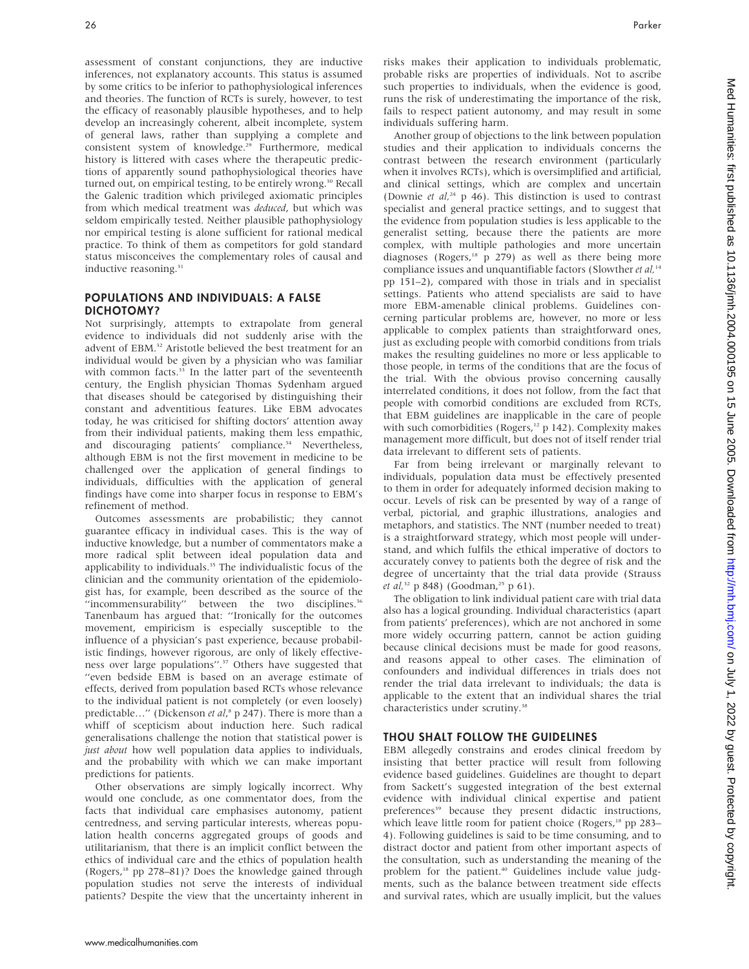assessment of constant conjunctions, they are inductive inferences, not explanatory accounts. This status is assumed by some critics to be inferior to pathophysiological inferences and theories. The function of RCTs is surely, however, to test the efficacy of reasonably plausible hypotheses, and to help develop an increasingly coherent, albeit incomplete, system of general laws, rather than supplying a complete and consistent system of knowledge.<sup>29</sup> Furthermore, medical history is littered with cases where the therapeutic predictions of apparently sound pathophysiological theories have turned out, on empirical testing, to be entirely wrong.<sup>30</sup> Recall the Galenic tradition which privileged axiomatic principles from which medical treatment was deduced, but which was seldom empirically tested. Neither plausible pathophysiology nor empirical testing is alone sufficient for rational medical practice. To think of them as competitors for gold standard status misconceives the complementary roles of causal and inductive reasoning.<sup>31</sup>

# POPULATIONS AND INDIVIDUALS: A FALSE DICHOTOMY?

Not surprisingly, attempts to extrapolate from general evidence to individuals did not suddenly arise with the advent of EBM.<sup>32</sup> Aristotle believed the best treatment for an individual would be given by a physician who was familiar with common facts. $33$  In the latter part of the seventeenth century, the English physician Thomas Sydenham argued that diseases should be categorised by distinguishing their constant and adventitious features. Like EBM advocates today, he was criticised for shifting doctors' attention away from their individual patients, making them less empathic, and discouraging patients' compliance.<sup>34</sup> Nevertheless, although EBM is not the first movement in medicine to be challenged over the application of general findings to individuals, difficulties with the application of general findings have come into sharper focus in response to EBM's refinement of method.

Outcomes assessments are probabilistic; they cannot guarantee efficacy in individual cases. This is the way of inductive knowledge, but a number of commentators make a more radical split between ideal population data and applicability to individuals.<sup>35</sup> The individualistic focus of the clinician and the community orientation of the epidemiologist has, for example, been described as the source of the "incommensurability" between the two disciplines.<sup>36</sup> Tanenbaum has argued that: ''Ironically for the outcomes movement, empiricism is especially susceptible to the influence of a physician's past experience, because probabilistic findings, however rigorous, are only of likely effectiveness over large populations''.37 Others have suggested that ''even bedside EBM is based on an average estimate of effects, derived from population based RCTs whose relevance to the individual patient is not completely (or even loosely) predictable..." (Dickenson et al,<sup>8</sup> p 247). There is more than a whiff of scepticism about induction here. Such radical generalisations challenge the notion that statistical power is just about how well population data applies to individuals, and the probability with which we can make important predictions for patients.

Other observations are simply logically incorrect. Why would one conclude, as one commentator does, from the facts that individual care emphasises autonomy, patient centredness, and serving particular interests, whereas population health concerns aggregated groups of goods and utilitarianism, that there is an implicit conflict between the ethics of individual care and the ethics of population health (Rogers,18 pp 278–81)? Does the knowledge gained through population studies not serve the interests of individual patients? Despite the view that the uncertainty inherent in risks makes their application to individuals problematic, probable risks are properties of individuals. Not to ascribe such properties to individuals, when the evidence is good, runs the risk of underestimating the importance of the risk, fails to respect patient autonomy, and may result in some individuals suffering harm.

Another group of objections to the link between population studies and their application to individuals concerns the contrast between the research environment (particularly when it involves RCTs), which is oversimplified and artificial, and clinical settings, which are complex and uncertain (Downie et  $al^{24}$  p 46). This distinction is used to contrast specialist and general practice settings, and to suggest that the evidence from population studies is less applicable to the generalist setting, because there the patients are more complex, with multiple pathologies and more uncertain diagnoses (Rogers, $18$  p 279) as well as there being more compliance issues and unquantifiable factors (Slowther et al,<sup>14</sup> pp 151–2), compared with those in trials and in specialist settings. Patients who attend specialists are said to have more EBM-amenable clinical problems. Guidelines concerning particular problems are, however, no more or less applicable to complex patients than straightforward ones, just as excluding people with comorbid conditions from trials makes the resulting guidelines no more or less applicable to those people, in terms of the conditions that are the focus of the trial. With the obvious proviso concerning causally interrelated conditions, it does not follow, from the fact that people with comorbid conditions are excluded from RCTs, that EBM guidelines are inapplicable in the care of people with such comorbidities (Rogers,<sup>12</sup> p 142). Complexity makes management more difficult, but does not of itself render trial data irrelevant to different sets of patients.

Far from being irrelevant or marginally relevant to individuals, population data must be effectively presented to them in order for adequately informed decision making to occur. Levels of risk can be presented by way of a range of verbal, pictorial, and graphic illustrations, analogies and metaphors, and statistics. The NNT (number needed to treat) is a straightforward strategy, which most people will understand, and which fulfils the ethical imperative of doctors to accurately convey to patients both the degree of risk and the degree of uncertainty that the trial data provide (Strauss et al,<sup>32</sup> p 848) (Goodman,<sup>25</sup> p 61).

The obligation to link individual patient care with trial data also has a logical grounding. Individual characteristics (apart from patients' preferences), which are not anchored in some more widely occurring pattern, cannot be action guiding because clinical decisions must be made for good reasons, and reasons appeal to other cases. The elimination of confounders and individual differences in trials does not render the trial data irrelevant to individuals; the data is applicable to the extent that an individual shares the trial characteristics under scrutiny.<sup>38</sup>

# THOU SHALT FOLLOW THE GUIDELINES

EBM allegedly constrains and erodes clinical freedom by insisting that better practice will result from following evidence based guidelines. Guidelines are thought to depart from Sackett's suggested integration of the best external evidence with individual clinical expertise and patient preferences<sup>39</sup> because they present didactic instructions, which leave little room for patient choice (Rogers, $18$  pp 283– 4). Following guidelines is said to be time consuming, and to distract doctor and patient from other important aspects of the consultation, such as understanding the meaning of the problem for the patient.<sup>40</sup> Guidelines include value judgments, such as the balance between treatment side effects and survival rates, which are usually implicit, but the values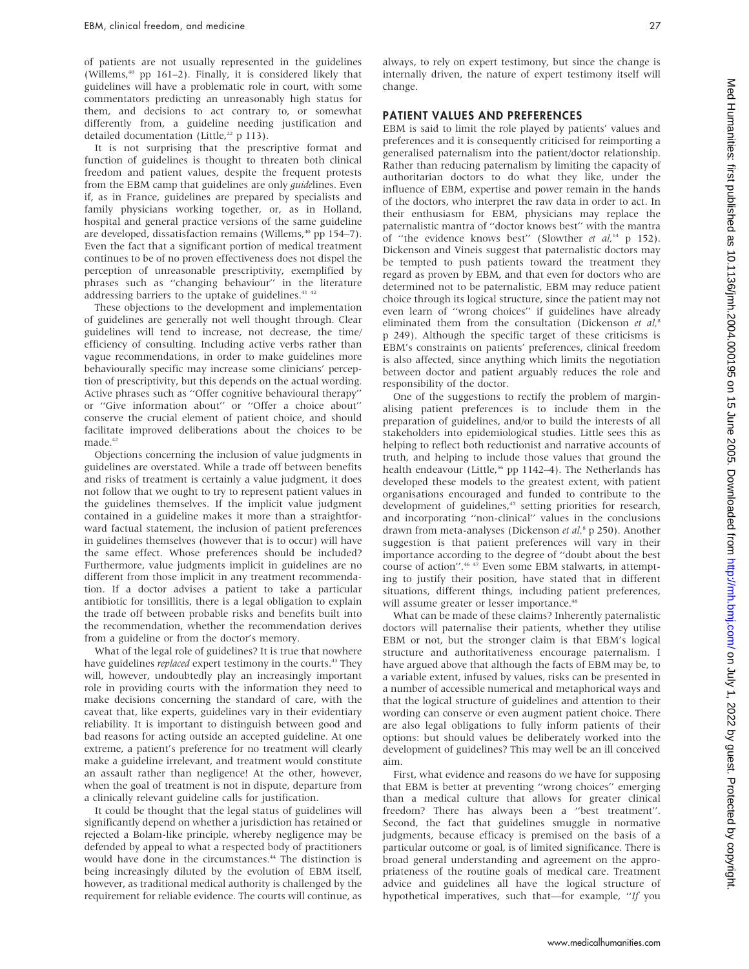of patients are not usually represented in the guidelines (Willems,<sup>40</sup> pp 161–2). Finally, it is considered likely that guidelines will have a problematic role in court, with some commentators predicting an unreasonably high status for them, and decisions to act contrary to, or somewhat differently from, a guideline needing justification and detailed documentation (Little,<sup>22</sup> p 113).

It is not surprising that the prescriptive format and function of guidelines is thought to threaten both clinical freedom and patient values, despite the frequent protests from the EBM camp that guidelines are only guidelines. Even if, as in France, guidelines are prepared by specialists and family physicians working together, or, as in Holland, hospital and general practice versions of the same guideline are developed, dissatisfaction remains (Willems,<sup>40</sup> pp 154–7). Even the fact that a significant portion of medical treatment continues to be of no proven effectiveness does not dispel the perception of unreasonable prescriptivity, exemplified by phrases such as ''changing behaviour'' in the literature addressing barriers to the uptake of guidelines.<sup>41 42</sup>

These objections to the development and implementation of guidelines are generally not well thought through. Clear guidelines will tend to increase, not decrease, the time/ efficiency of consulting. Including active verbs rather than vague recommendations, in order to make guidelines more behaviourally specific may increase some clinicians' perception of prescriptivity, but this depends on the actual wording. Active phrases such as ''Offer cognitive behavioural therapy'' or ''Give information about'' or ''Offer a choice about'' conserve the crucial element of patient choice, and should facilitate improved deliberations about the choices to be made.<sup>42</sup>

Objections concerning the inclusion of value judgments in guidelines are overstated. While a trade off between benefits and risks of treatment is certainly a value judgment, it does not follow that we ought to try to represent patient values in the guidelines themselves. If the implicit value judgment contained in a guideline makes it more than a straightforward factual statement, the inclusion of patient preferences in guidelines themselves (however that is to occur) will have the same effect. Whose preferences should be included? Furthermore, value judgments implicit in guidelines are no different from those implicit in any treatment recommendation. If a doctor advises a patient to take a particular antibiotic for tonsillitis, there is a legal obligation to explain the trade off between probable risks and benefits built into the recommendation, whether the recommendation derives from a guideline or from the doctor's memory.

What of the legal role of guidelines? It is true that nowhere have guidelines replaced expert testimony in the courts.<sup>43</sup> They will, however, undoubtedly play an increasingly important role in providing courts with the information they need to make decisions concerning the standard of care, with the caveat that, like experts, guidelines vary in their evidentiary reliability. It is important to distinguish between good and bad reasons for acting outside an accepted guideline. At one extreme, a patient's preference for no treatment will clearly make a guideline irrelevant, and treatment would constitute an assault rather than negligence! At the other, however, when the goal of treatment is not in dispute, departure from a clinically relevant guideline calls for justification.

It could be thought that the legal status of guidelines will significantly depend on whether a jurisdiction has retained or rejected a Bolam-like principle, whereby negligence may be defended by appeal to what a respected body of practitioners would have done in the circumstances.<sup>44</sup> The distinction is being increasingly diluted by the evolution of EBM itself, however, as traditional medical authority is challenged by the requirement for reliable evidence. The courts will continue, as

always, to rely on expert testimony, but since the change is internally driven, the nature of expert testimony itself will change.

# PATIENT VALUES AND PREFERENCES

EBM is said to limit the role played by patients' values and preferences and it is consequently criticised for reimporting a generalised paternalism into the patient/doctor relationship. Rather than reducing paternalism by limiting the capacity of authoritarian doctors to do what they like, under the influence of EBM, expertise and power remain in the hands of the doctors, who interpret the raw data in order to act. In their enthusiasm for EBM, physicians may replace the paternalistic mantra of ''doctor knows best'' with the mantra of "the evidence knows best" (Slowther et  $al^{14}$ , p 152). Dickenson and Vineis suggest that paternalistic doctors may be tempted to push patients toward the treatment they regard as proven by EBM, and that even for doctors who are determined not to be paternalistic, EBM may reduce patient choice through its logical structure, since the patient may not even learn of ''wrong choices'' if guidelines have already eliminated them from the consultation (Dickenson et  $al<sub>i</sub>$ <sup>8</sup> p 249). Although the specific target of these criticisms is EBM's constraints on patients' preferences, clinical freedom is also affected, since anything which limits the negotiation between doctor and patient arguably reduces the role and responsibility of the doctor.

One of the suggestions to rectify the problem of marginalising patient preferences is to include them in the preparation of guidelines, and/or to build the interests of all stakeholders into epidemiological studies. Little sees this as helping to reflect both reductionist and narrative accounts of truth, and helping to include those values that ground the health endeavour (Little,<sup>36</sup> pp 1142–4). The Netherlands has developed these models to the greatest extent, with patient organisations encouraged and funded to contribute to the development of guidelines,<sup>45</sup> setting priorities for research, and incorporating ''non-clinical'' values in the conclusions drawn from meta-analyses (Dickenson et al,<sup>8</sup> p 250). Another suggestion is that patient preferences will vary in their importance according to the degree of ''doubt about the best course of action''.46 47 Even some EBM stalwarts, in attempting to justify their position, have stated that in different situations, different things, including patient preferences, will assume greater or lesser importance.<sup>48</sup>

What can be made of these claims? Inherently paternalistic doctors will paternalise their patients, whether they utilise EBM or not, but the stronger claim is that EBM's logical structure and authoritativeness encourage paternalism. I have argued above that although the facts of EBM may be, to a variable extent, infused by values, risks can be presented in a number of accessible numerical and metaphorical ways and that the logical structure of guidelines and attention to their wording can conserve or even augment patient choice. There are also legal obligations to fully inform patients of their options: but should values be deliberately worked into the development of guidelines? This may well be an ill conceived aim.

First, what evidence and reasons do we have for supposing that EBM is better at preventing ''wrong choices'' emerging than a medical culture that allows for greater clinical freedom? There has always been a ''best treatment''. Second, the fact that guidelines smuggle in normative judgments, because efficacy is premised on the basis of a particular outcome or goal, is of limited significance. There is broad general understanding and agreement on the appropriateness of the routine goals of medical care. Treatment advice and guidelines all have the logical structure of hypothetical imperatives, such that—for example, ''If you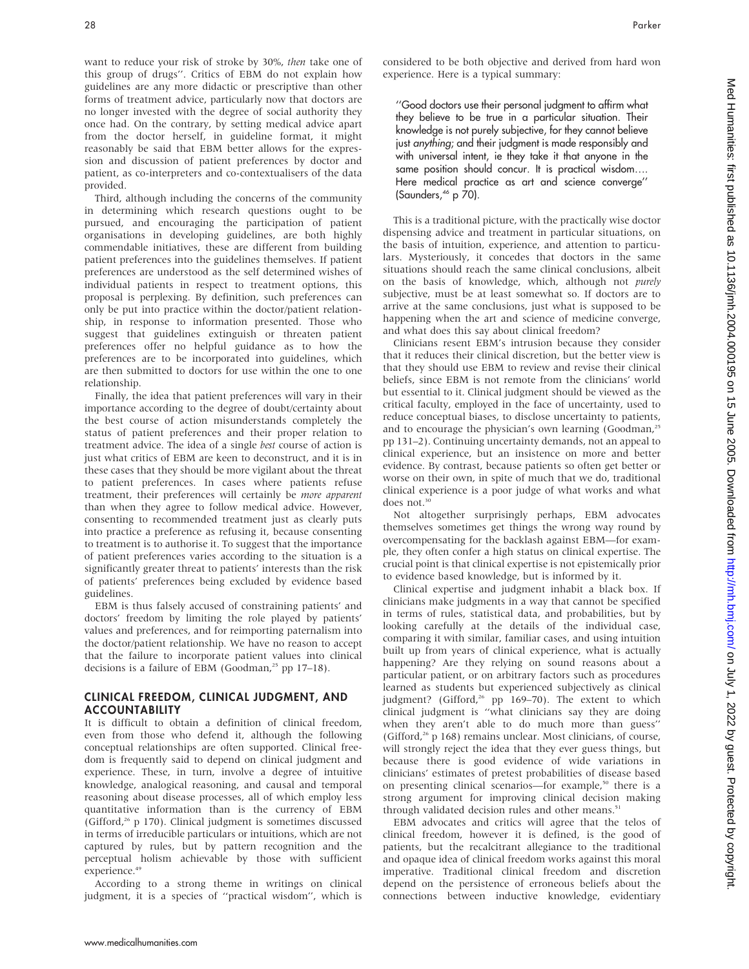want to reduce your risk of stroke by 30%, then take one of this group of drugs''. Critics of EBM do not explain how guidelines are any more didactic or prescriptive than other forms of treatment advice, particularly now that doctors are no longer invested with the degree of social authority they once had. On the contrary, by setting medical advice apart from the doctor herself, in guideline format, it might reasonably be said that EBM better allows for the expression and discussion of patient preferences by doctor and patient, as co-interpreters and co-contextualisers of the data provided.

Third, although including the concerns of the community in determining which research questions ought to be pursued, and encouraging the participation of patient organisations in developing guidelines, are both highly commendable initiatives, these are different from building patient preferences into the guidelines themselves. If patient preferences are understood as the self determined wishes of individual patients in respect to treatment options, this proposal is perplexing. By definition, such preferences can only be put into practice within the doctor/patient relationship, in response to information presented. Those who suggest that guidelines extinguish or threaten patient preferences offer no helpful guidance as to how the preferences are to be incorporated into guidelines, which are then submitted to doctors for use within the one to one relationship.

Finally, the idea that patient preferences will vary in their importance according to the degree of doubt/certainty about the best course of action misunderstands completely the status of patient preferences and their proper relation to treatment advice. The idea of a single best course of action is just what critics of EBM are keen to deconstruct, and it is in these cases that they should be more vigilant about the threat to patient preferences. In cases where patients refuse treatment, their preferences will certainly be more apparent than when they agree to follow medical advice. However, consenting to recommended treatment just as clearly puts into practice a preference as refusing it, because consenting to treatment is to authorise it. To suggest that the importance of patient preferences varies according to the situation is a significantly greater threat to patients' interests than the risk of patients' preferences being excluded by evidence based guidelines.

EBM is thus falsely accused of constraining patients' and doctors' freedom by limiting the role played by patients' values and preferences, and for reimporting paternalism into the doctor/patient relationship. We have no reason to accept that the failure to incorporate patient values into clinical decisions is a failure of EBM (Goodman, $25$  pp 17–18).

# CLINICAL FREEDOM, CLINICAL JUDGMENT, AND ACCOUNTABILITY

It is difficult to obtain a definition of clinical freedom, even from those who defend it, although the following conceptual relationships are often supported. Clinical freedom is frequently said to depend on clinical judgment and experience. These, in turn, involve a degree of intuitive knowledge, analogical reasoning, and causal and temporal reasoning about disease processes, all of which employ less quantitative information than is the currency of EBM (Gifford,<sup>26</sup> p 170). Clinical judgment is sometimes discussed in terms of irreducible particulars or intuitions, which are not captured by rules, but by pattern recognition and the perceptual holism achievable by those with sufficient experience.<sup>49</sup>

According to a strong theme in writings on clinical judgment, it is a species of ''practical wisdom'', which is considered to be both objective and derived from hard won experience. Here is a typical summary:

''Good doctors use their personal judgment to affirm what they believe to be true in a particular situation. Their knowledge is not purely subjective, for they cannot believe just anything; and their judgment is made responsibly and with universal intent, ie they take it that anyone in the same position should concur. It is practical wisdom…. Here medical practice as art and science converge'' (Saunders,46 p 70).

This is a traditional picture, with the practically wise doctor dispensing advice and treatment in particular situations, on the basis of intuition, experience, and attention to particulars. Mysteriously, it concedes that doctors in the same situations should reach the same clinical conclusions, albeit on the basis of knowledge, which, although not purely subjective, must be at least somewhat so. If doctors are to arrive at the same conclusions, just what is supposed to be happening when the art and science of medicine converge, and what does this say about clinical freedom?

Clinicians resent EBM's intrusion because they consider that it reduces their clinical discretion, but the better view is that they should use EBM to review and revise their clinical beliefs, since EBM is not remote from the clinicians' world but essential to it. Clinical judgment should be viewed as the critical faculty, employed in the face of uncertainty, used to reduce conceptual biases, to disclose uncertainty to patients, and to encourage the physician's own learning (Goodman,<sup>25</sup>) pp 131–2). Continuing uncertainty demands, not an appeal to clinical experience, but an insistence on more and better evidence. By contrast, because patients so often get better or worse on their own, in spite of much that we do, traditional clinical experience is a poor judge of what works and what does not.<sup>30</sup>

Not altogether surprisingly perhaps, EBM advocates themselves sometimes get things the wrong way round by overcompensating for the backlash against EBM—for example, they often confer a high status on clinical expertise. The crucial point is that clinical expertise is not epistemically prior to evidence based knowledge, but is informed by it.

Clinical expertise and judgment inhabit a black box. If clinicians make judgments in a way that cannot be specified in terms of rules, statistical data, and probabilities, but by looking carefully at the details of the individual case, comparing it with similar, familiar cases, and using intuition built up from years of clinical experience, what is actually happening? Are they relying on sound reasons about a particular patient, or on arbitrary factors such as procedures learned as students but experienced subjectively as clinical judgment? (Gifford,<sup>26</sup> pp 169-70). The extent to which clinical judgment is ''what clinicians say they are doing when they aren't able to do much more than guess'' (Gifford,26 p 168) remains unclear. Most clinicians, of course, will strongly reject the idea that they ever guess things, but because there is good evidence of wide variations in clinicians' estimates of pretest probabilities of disease based on presenting clinical scenarios—for example,<sup>50</sup> there is a strong argument for improving clinical decision making through validated decision rules and other means.<sup>51</sup>

EBM advocates and critics will agree that the telos of clinical freedom, however it is defined, is the good of patients, but the recalcitrant allegiance to the traditional and opaque idea of clinical freedom works against this moral imperative. Traditional clinical freedom and discretion depend on the persistence of erroneous beliefs about the connections between inductive knowledge, evidentiary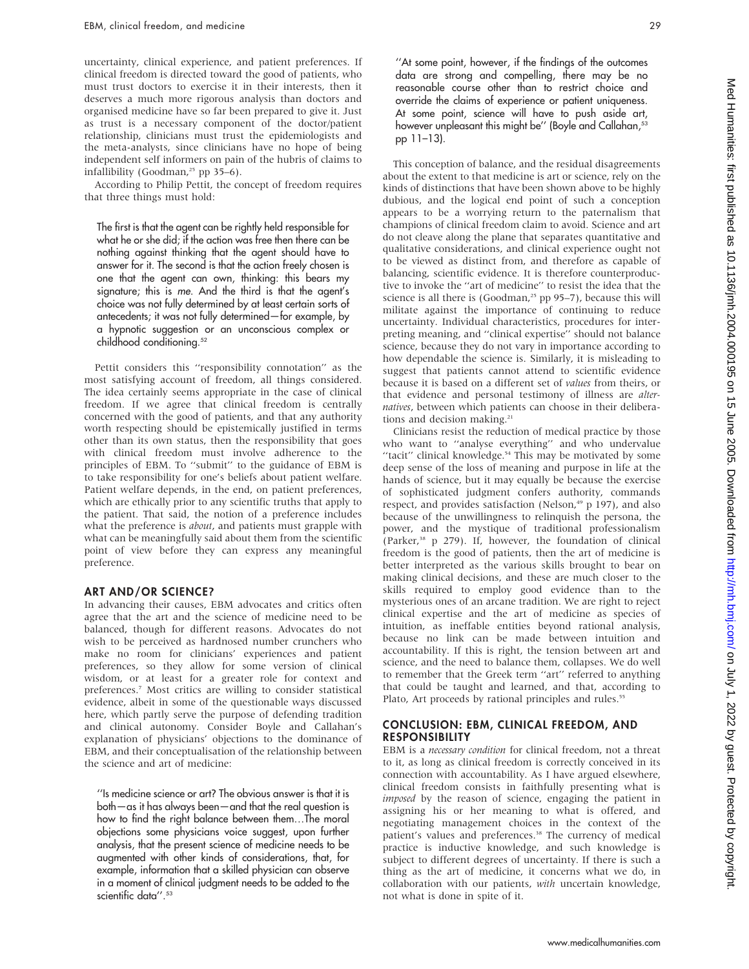uncertainty, clinical experience, and patient preferences. If clinical freedom is directed toward the good of patients, who must trust doctors to exercise it in their interests, then it deserves a much more rigorous analysis than doctors and organised medicine have so far been prepared to give it. Just as trust is a necessary component of the doctor/patient relationship, clinicians must trust the epidemiologists and the meta-analysts, since clinicians have no hope of being independent self informers on pain of the hubris of claims to infallibility (Goodman, $^{25}$  pp 35–6).

According to Philip Pettit, the concept of freedom requires that three things must hold:

The first is that the agent can be rightly held responsible for what he or she did; if the action was free then there can be nothing against thinking that the agent should have to answer for it. The second is that the action freely chosen is one that the agent can own, thinking: this bears my signature; this is me. And the third is that the agent's choice was not fully determined by at least certain sorts of antecedents; it was not fully determined—for example, by a hypnotic suggestion or an unconscious complex or childhood conditioning.<sup>52</sup>

Pettit considers this ''responsibility connotation'' as the most satisfying account of freedom, all things considered. The idea certainly seems appropriate in the case of clinical freedom. If we agree that clinical freedom is centrally concerned with the good of patients, and that any authority worth respecting should be epistemically justified in terms other than its own status, then the responsibility that goes with clinical freedom must involve adherence to the principles of EBM. To ''submit'' to the guidance of EBM is to take responsibility for one's beliefs about patient welfare. Patient welfare depends, in the end, on patient preferences, which are ethically prior to any scientific truths that apply to the patient. That said, the notion of a preference includes what the preference is *about*, and patients must grapple with what can be meaningfully said about them from the scientific point of view before they can express any meaningful preference.

# ART AND/OR SCIENCE?

In advancing their causes, EBM advocates and critics often agree that the art and the science of medicine need to be balanced, though for different reasons. Advocates do not wish to be perceived as hardnosed number crunchers who make no room for clinicians' experiences and patient preferences, so they allow for some version of clinical wisdom, or at least for a greater role for context and preferences.<sup>7</sup> Most critics are willing to consider statistical evidence, albeit in some of the questionable ways discussed here, which partly serve the purpose of defending tradition and clinical autonomy. Consider Boyle and Callahan's explanation of physicians' objections to the dominance of EBM, and their conceptualisation of the relationship between the science and art of medicine:

''Is medicine science or art? The obvious answer is that it is both—as it has always been—and that the real question is how to find the right balance between them…The moral objections some physicians voice suggest, upon further analysis, that the present science of medicine needs to be augmented with other kinds of considerations, that, for example, information that a skilled physician can observe in a moment of clinical judgment needs to be added to the scientific data".<sup>53</sup>

''At some point, however, if the findings of the outcomes data are strong and compelling, there may be no reasonable course other than to restrict choice and override the claims of experience or patient uniqueness. At some point, science will have to push aside art, however unpleasant this might be" (Boyle and Callahan,<sup>53</sup> pp 11–13).

This conception of balance, and the residual disagreements about the extent to that medicine is art or science, rely on the kinds of distinctions that have been shown above to be highly dubious, and the logical end point of such a conception appears to be a worrying return to the paternalism that champions of clinical freedom claim to avoid. Science and art do not cleave along the plane that separates quantitative and qualitative considerations, and clinical experience ought not to be viewed as distinct from, and therefore as capable of balancing, scientific evidence. It is therefore counterproductive to invoke the ''art of medicine'' to resist the idea that the science is all there is (Goodman,<sup>25</sup> pp 95-7), because this will militate against the importance of continuing to reduce uncertainty. Individual characteristics, procedures for interpreting meaning, and ''clinical expertise'' should not balance science, because they do not vary in importance according to how dependable the science is. Similarly, it is misleading to suggest that patients cannot attend to scientific evidence because it is based on a different set of values from theirs, or that evidence and personal testimony of illness are alternatives, between which patients can choose in their deliberations and decision making.<sup>21</sup>

Clinicians resist the reduction of medical practice by those who want to ''analyse everything'' and who undervalue "tacit" clinical knowledge.<sup>54</sup> This may be motivated by some deep sense of the loss of meaning and purpose in life at the hands of science, but it may equally be because the exercise of sophisticated judgment confers authority, commands respect, and provides satisfaction (Nelson,<sup>49</sup> p 197), and also because of the unwillingness to relinquish the persona, the power, and the mystique of traditional professionalism (Parker,<sup>38</sup> p 279). If, however, the foundation of clinical freedom is the good of patients, then the art of medicine is better interpreted as the various skills brought to bear on making clinical decisions, and these are much closer to the skills required to employ good evidence than to the mysterious ones of an arcane tradition. We are right to reject clinical expertise and the art of medicine as species of intuition, as ineffable entities beyond rational analysis, because no link can be made between intuition and accountability. If this is right, the tension between art and science, and the need to balance them, collapses. We do well to remember that the Greek term ''art'' referred to anything that could be taught and learned, and that, according to Plato, Art proceeds by rational principles and rules.<sup>55</sup>

#### CONCLUSION: EBM, CLINICAL FREEDOM, AND RESPONSIBILITY

EBM is a necessary condition for clinical freedom, not a threat to it, as long as clinical freedom is correctly conceived in its connection with accountability. As I have argued elsewhere, clinical freedom consists in faithfully presenting what is imposed by the reason of science, engaging the patient in assigning his or her meaning to what is offered, and negotiating management choices in the context of the patient's values and preferences.<sup>38</sup> The currency of medical practice is inductive knowledge, and such knowledge is subject to different degrees of uncertainty. If there is such a thing as the art of medicine, it concerns what we do, in collaboration with our patients, with uncertain knowledge, not what is done in spite of it.